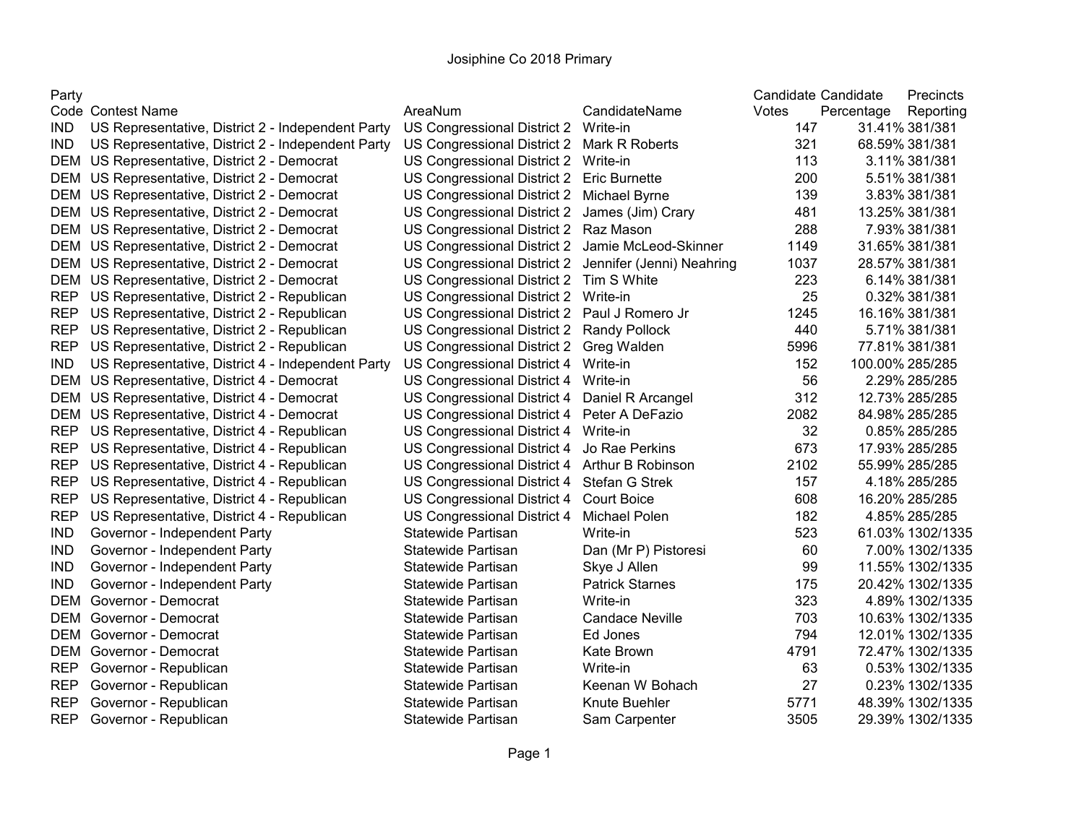## Josiphine Co 2018 Primary

|--|

| Party      |                                                   |                                      |                           | Candidate Candidate |            | Precincts        |
|------------|---------------------------------------------------|--------------------------------------|---------------------------|---------------------|------------|------------------|
|            | Code Contest Name                                 | AreaNum                              | CandidateName             | Votes               | Percentage | Reporting        |
| IND.       | US Representative, District 2 - Independent Party | US Congressional District 2 Write-in |                           | 147                 |            | 31.41% 381/381   |
| <b>IND</b> | US Representative, District 2 - Independent Party | US Congressional District 2          | Mark R Roberts            | 321                 |            | 68.59% 381/381   |
| DEM        | US Representative, District 2 - Democrat          | US Congressional District 2 Write-in |                           | 113                 |            | 3.11% 381/381    |
| DEM        | US Representative, District 2 - Democrat          | US Congressional District 2          | <b>Eric Burnette</b>      | 200                 |            | 5.51% 381/381    |
| DEM        | US Representative, District 2 - Democrat          | US Congressional District 2          | Michael Byrne             | 139                 |            | 3.83% 381/381    |
|            | DEM US Representative, District 2 - Democrat      | US Congressional District 2          | James (Jim) Crary         | 481                 |            | 13.25% 381/381   |
| DEM        | US Representative, District 2 - Democrat          | US Congressional District 2          | Raz Mason                 | 288                 |            | 7.93% 381/381    |
| DEM        | US Representative, District 2 - Democrat          | US Congressional District 2          | Jamie McLeod-Skinner      | 1149                |            | 31.65% 381/381   |
| DEM        | US Representative, District 2 - Democrat          | US Congressional District 2          | Jennifer (Jenni) Neahring | 1037                |            | 28.57% 381/381   |
| DEM        | US Representative, District 2 - Democrat          | US Congressional District 2          | Tim S White               | 223                 |            | 6.14% 381/381    |
| <b>REP</b> | US Representative, District 2 - Republican        | US Congressional District 2          | Write-in                  | 25                  |            | 0.32% 381/381    |
| <b>REP</b> | US Representative, District 2 - Republican        | US Congressional District 2          | Paul J Romero Jr          | 1245                |            | 16.16% 381/381   |
| <b>REP</b> | US Representative, District 2 - Republican        | US Congressional District 2          | Randy Pollock             | 440                 |            | 5.71% 381/381    |
| <b>REP</b> | US Representative, District 2 - Republican        | US Congressional District 2          | Greg Walden               | 5996                |            | 77.81% 381/381   |
| <b>IND</b> | US Representative, District 4 - Independent Party | US Congressional District 4          | Write-in                  | 152                 |            | 100.00% 285/285  |
| <b>DEM</b> | US Representative, District 4 - Democrat          | US Congressional District 4          | Write-in                  | 56                  |            | 2.29% 285/285    |
| DEM        | US Representative, District 4 - Democrat          | US Congressional District 4          | Daniel R Arcangel         | 312                 |            | 12.73% 285/285   |
| DEM        | US Representative, District 4 - Democrat          | US Congressional District 4          | Peter A DeFazio           | 2082                |            | 84.98% 285/285   |
| <b>REP</b> | US Representative, District 4 - Republican        | US Congressional District 4          | Write-in                  | 32                  |            | 0.85% 285/285    |
| <b>REP</b> | US Representative, District 4 - Republican        | US Congressional District 4          | Jo Rae Perkins            | 673                 |            | 17.93% 285/285   |
| <b>REP</b> | US Representative, District 4 - Republican        | US Congressional District 4          | Arthur B Robinson         | 2102                |            | 55.99% 285/285   |
| <b>REP</b> | US Representative, District 4 - Republican        | US Congressional District 4          | Stefan G Strek            | 157                 |            | 4.18% 285/285    |
| <b>REP</b> | US Representative, District 4 - Republican        | US Congressional District 4          | <b>Court Boice</b>        | 608                 |            | 16.20% 285/285   |
| <b>REP</b> | US Representative, District 4 - Republican        | US Congressional District 4          | Michael Polen             | 182                 |            | 4.85% 285/285    |
| <b>IND</b> | Governor - Independent Party                      | Statewide Partisan                   | Write-in                  | 523                 |            | 61.03% 1302/1335 |
| <b>IND</b> | Governor - Independent Party                      | Statewide Partisan                   | Dan (Mr P) Pistoresi      | 60                  |            | 7.00% 1302/1335  |
| <b>IND</b> | Governor - Independent Party                      | Statewide Partisan                   | Skye J Allen              | 99                  |            | 11.55% 1302/1335 |
| <b>IND</b> | Governor - Independent Party                      | Statewide Partisan                   | <b>Patrick Starnes</b>    | 175                 |            | 20.42% 1302/1335 |
| <b>DEM</b> | Governor - Democrat                               | Statewide Partisan                   | Write-in                  | 323                 |            | 4.89% 1302/1335  |
| <b>DEM</b> | Governor - Democrat                               | Statewide Partisan                   | <b>Candace Neville</b>    | 703                 |            | 10.63% 1302/1335 |
| DEM        | Governor - Democrat                               | Statewide Partisan                   | Ed Jones                  | 794                 |            | 12.01% 1302/1335 |
| DEM        | Governor - Democrat                               | Statewide Partisan                   | Kate Brown                | 4791                |            | 72.47% 1302/1335 |
| <b>REP</b> | Governor - Republican                             | Statewide Partisan                   | Write-in                  | 63                  |            | 0.53% 1302/1335  |
| <b>REP</b> | Governor - Republican                             | Statewide Partisan                   | Keenan W Bohach           | 27                  |            | 0.23% 1302/1335  |
| <b>REP</b> | Governor - Republican                             | Statewide Partisan                   | Knute Buehler             | 5771                |            | 48.39% 1302/1335 |
| <b>REP</b> | Governor - Republican                             | Statewide Partisan                   | Sam Carpenter             | 3505                |            | 29.39% 1302/1335 |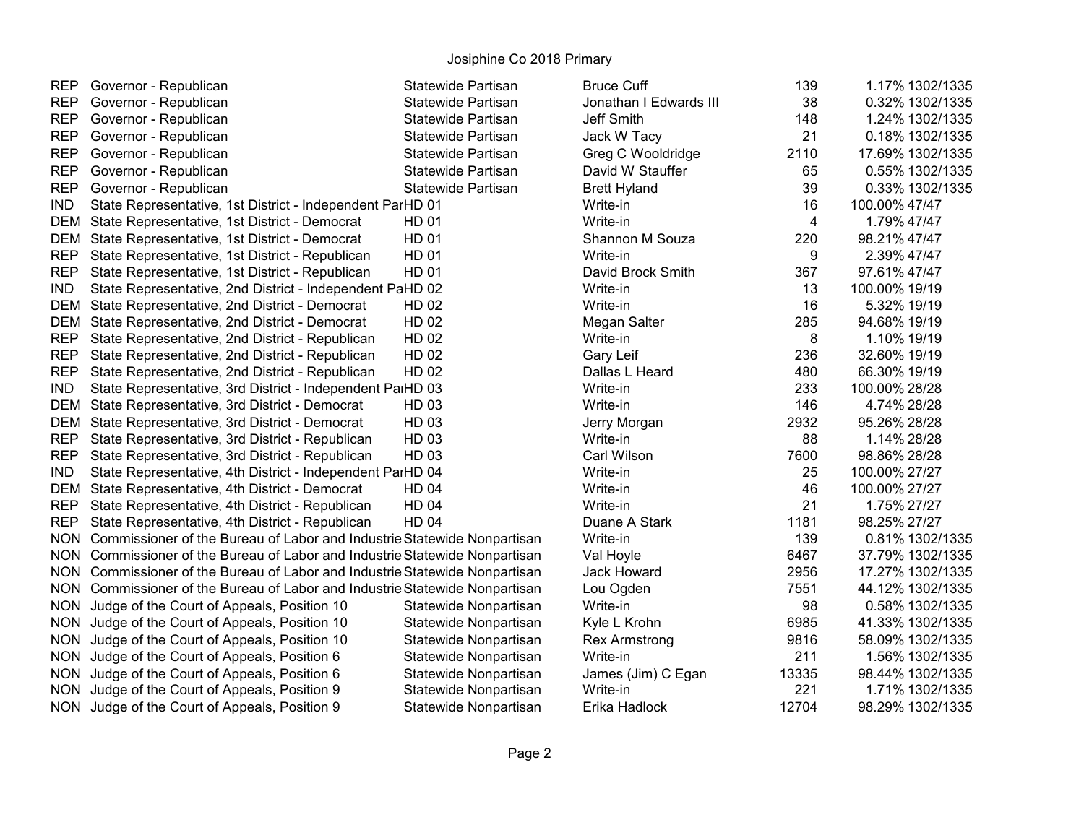| <b>REP</b> | Governor - Republican                                                       | Statewide Partisan    | <b>Bruce Cuff</b>      | 139   | 1.17% 1302/1335  |
|------------|-----------------------------------------------------------------------------|-----------------------|------------------------|-------|------------------|
| <b>REP</b> | Governor - Republican                                                       | Statewide Partisan    | Jonathan I Edwards III | 38    | 0.32% 1302/1335  |
| <b>REP</b> | Governor - Republican                                                       | Statewide Partisan    | Jeff Smith             | 148   | 1.24% 1302/1335  |
| <b>REP</b> | Governor - Republican                                                       | Statewide Partisan    | Jack W Tacy            | 21    | 0.18% 1302/1335  |
| <b>REP</b> | Governor - Republican                                                       | Statewide Partisan    | Greg C Wooldridge      | 2110  | 17.69% 1302/1335 |
| <b>REP</b> | Governor - Republican                                                       | Statewide Partisan    | David W Stauffer       | 65    | 0.55% 1302/1335  |
| <b>REP</b> | Governor - Republican                                                       | Statewide Partisan    | <b>Brett Hyland</b>    | 39    | 0.33% 1302/1335  |
| <b>IND</b> | State Representative, 1st District - Independent ParHD 01                   |                       | Write-in               | 16    | 100.00% 47/47    |
|            | DEM State Representative, 1st District - Democrat                           | <b>HD 01</b>          | Write-in               | 4     | 1.79% 47/47      |
|            | DEM State Representative, 1st District - Democrat                           | <b>HD 01</b>          | Shannon M Souza        | 220   | 98.21% 47/47     |
| <b>REP</b> | State Representative, 1st District - Republican                             | <b>HD 01</b>          | Write-in               | 9     | 2.39% 47/47      |
| <b>REP</b> | State Representative, 1st District - Republican                             | <b>HD 01</b>          | David Brock Smith      | 367   | 97.61% 47/47     |
| <b>IND</b> | State Representative, 2nd District - Independent PaHD 02                    |                       | Write-in               | 13    | 100.00% 19/19    |
|            | DEM State Representative, 2nd District - Democrat                           | <b>HD 02</b>          | Write-in               | 16    | 5.32% 19/19      |
|            | DEM State Representative, 2nd District - Democrat                           | <b>HD 02</b>          | Megan Salter           | 285   | 94.68% 19/19     |
| <b>REP</b> | State Representative, 2nd District - Republican                             | <b>HD 02</b>          | Write-in               | 8     | 1.10% 19/19      |
| <b>REP</b> | State Representative, 2nd District - Republican                             | HD 02                 | Gary Leif              | 236   | 32.60% 19/19     |
| <b>REP</b> | State Representative, 2nd District - Republican                             | HD 02                 | Dallas L Heard         | 480   | 66.30% 19/19     |
| <b>IND</b> | State Representative, 3rd District - Independent PaiHD 03                   |                       | Write-in               | 233   | 100.00% 28/28    |
|            | DEM State Representative, 3rd District - Democrat                           | HD 03                 | Write-in               | 146   | 4.74% 28/28      |
|            | DEM State Representative, 3rd District - Democrat                           | HD 03                 | Jerry Morgan           | 2932  | 95.26% 28/28     |
| <b>REP</b> | State Representative, 3rd District - Republican                             | HD 03                 | Write-in               | 88    | 1.14% 28/28      |
| <b>REP</b> | State Representative, 3rd District - Republican                             | HD 03                 | Carl Wilson            | 7600  | 98.86% 28/28     |
| <b>IND</b> | State Representative, 4th District - Independent ParHD 04                   |                       | Write-in               | 25    | 100.00% 27/27    |
|            | DEM State Representative, 4th District - Democrat                           | <b>HD 04</b>          | Write-in               | 46    | 100.00% 27/27    |
| <b>REP</b> | State Representative, 4th District - Republican                             | <b>HD 04</b>          | Write-in               | 21    | 1.75% 27/27      |
| <b>REP</b> | State Representative, 4th District - Republican                             | <b>HD 04</b>          | Duane A Stark          | 1181  | 98.25% 27/27     |
| <b>NON</b> | Commissioner of the Bureau of Labor and Industrie Statewide Nonpartisan     |                       | Write-in               | 139   | 0.81% 1302/1335  |
|            | NON Commissioner of the Bureau of Labor and Industrie Statewide Nonpartisan |                       | Val Hoyle              | 6467  | 37.79% 1302/1335 |
|            | NON Commissioner of the Bureau of Labor and Industrie Statewide Nonpartisan |                       | Jack Howard            | 2956  | 17.27% 1302/1335 |
|            | NON Commissioner of the Bureau of Labor and Industrie Statewide Nonpartisan |                       | Lou Ogden              | 7551  | 44.12% 1302/1335 |
|            | NON Judge of the Court of Appeals, Position 10                              | Statewide Nonpartisan | Write-in               | 98    | 0.58% 1302/1335  |
|            | NON Judge of the Court of Appeals, Position 10                              | Statewide Nonpartisan | Kyle L Krohn           | 6985  | 41.33% 1302/1335 |
|            | NON Judge of the Court of Appeals, Position 10                              | Statewide Nonpartisan | <b>Rex Armstrong</b>   | 9816  | 58.09% 1302/1335 |
|            | NON Judge of the Court of Appeals, Position 6                               | Statewide Nonpartisan | Write-in               | 211   | 1.56% 1302/1335  |
|            | NON Judge of the Court of Appeals, Position 6                               | Statewide Nonpartisan | James (Jim) C Egan     | 13335 | 98.44% 1302/1335 |
|            | NON Judge of the Court of Appeals, Position 9                               | Statewide Nonpartisan | Write-in               | 221   | 1.71% 1302/1335  |
|            | NON Judge of the Court of Appeals, Position 9                               | Statewide Nonpartisan | Erika Hadlock          | 12704 | 98.29% 1302/1335 |
|            |                                                                             |                       |                        |       |                  |